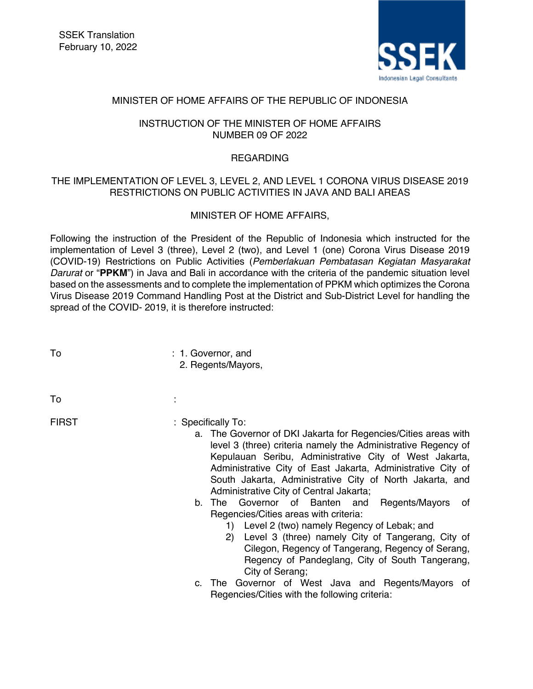

## MINISTER OF HOME AFFAIRS OF THE REPUBLIC OF INDONESIA

## INSTRUCTION OF THE MINISTER OF HOME AFFAIRS NUMBER 09 OF 2022

## REGARDING

# THE IMPLEMENTATION OF LEVEL 3, LEVEL 2, AND LEVEL 1 CORONA VIRUS DISEASE 2019 RESTRICTIONS ON PUBLIC ACTIVITIES IN JAVA AND BALI AREAS

# MINISTER OF HOME AFFAIRS,

Following the instruction of the President of the Republic of Indonesia which instructed for the implementation of Level 3 (three), Level 2 (two), and Level 1 (one) Corona Virus Disease 2019 (COVID-19) Restrictions on Public Activities (*Pemberlakuan Pembatasan Kegiatan Masyarakat Darurat* or "**PPKM**") in Java and Bali in accordance with the criteria of the pandemic situation level based on the assessments and to complete the implementation of PPKM which optimizes the Corona Virus Disease 2019 Command Handling Post at the District and Sub-District Level for handling the spread of the COVID- 2019, it is therefore instructed:

- To  $: 1.$  Governor, and
	- 2. Regents/Mayors,
- $\mathsf{To}$  : the set of  $\mathsf{S}$  is the set of  $\mathsf{S}$  is the set of  $\mathsf{S}$  is the set of  $\mathsf{S}$

- FIRST : Specifically To:
	- a. The Governor of DKI Jakarta for Regencies/Cities areas with level 3 (three) criteria namely the Administrative Regency of Kepulauan Seribu, Administrative City of West Jakarta, Administrative City of East Jakarta, Administrative City of South Jakarta, Administrative City of North Jakarta, and Administrative City of Central Jakarta;
	- b. The Governor of Banten and Regents/Mayors of Regencies/Cities areas with criteria:
		- 1) Level 2 (two) namely Regency of Lebak; and
		- 2) Level 3 (three) namely City of Tangerang, City of Cilegon, Regency of Tangerang, Regency of Serang, Regency of Pandeglang, City of South Tangerang, City of Serang;
	- c. The Governor of West Java and Regents/Mayors of Regencies/Cities with the following criteria: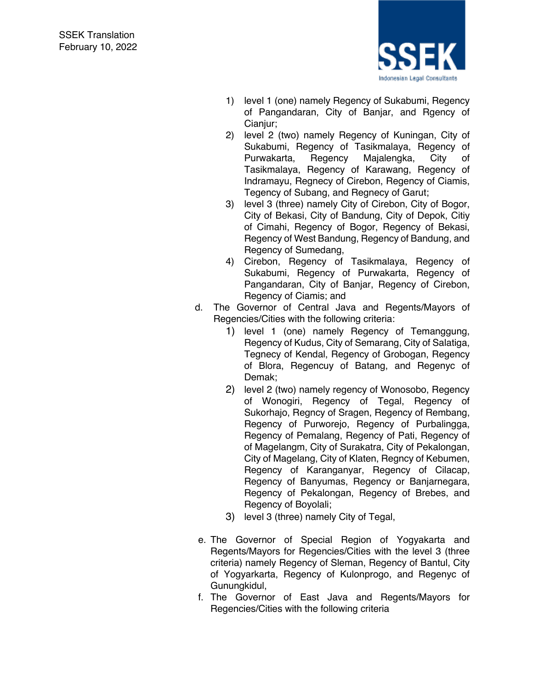

- 1) level 1 (one) namely Regency of Sukabumi, Regency of Pangandaran, City of Banjar, and Rgency of Cianjur;
- 2) level 2 (two) namely Regency of Kuningan, City of Sukabumi, Regency of Tasikmalaya, Regency of Purwakarta, Regency Majalengka, City of Tasikmalaya, Regency of Karawang, Regency of Indramayu, Regnecy of Cirebon, Regency of Ciamis, Tegency of Subang, and Regnecy of Garut;
- 3) level 3 (three) namely City of Cirebon, City of Bogor, City of Bekasi, City of Bandung, City of Depok, Citiy of Cimahi, Regency of Bogor, Regency of Bekasi, Regency of West Bandung, Regency of Bandung, and Regency of Sumedang,
- 4) Cirebon, Regency of Tasikmalaya, Regency of Sukabumi, Regency of Purwakarta, Regency of Pangandaran, City of Banjar, Regency of Cirebon, Regency of Ciamis; and
- d. The Governor of Central Java and Regents/Mayors of Regencies/Cities with the following criteria:
	- 1) level 1 (one) namely Regency of Temanggung, Regency of Kudus, City of Semarang, City of Salatiga, Tegnecy of Kendal, Regency of Grobogan, Regency of Blora, Regencuy of Batang, and Regenyc of Demak;
	- 2) level 2 (two) namely regency of Wonosobo, Regency of Wonogiri, Regency of Tegal, Regency of Sukorhajo, Regncy of Sragen, Regency of Rembang, Regency of Purworejo, Regency of Purbalingga, Regency of Pemalang, Regency of Pati, Regency of of Magelangm, City of Surakatra, City of Pekalongan, City of Magelang, City of Klaten, Regncy of Kebumen, Regency of Karanganyar, Regency of Cilacap, Regency of Banyumas, Regency or Banjarnegara, Regency of Pekalongan, Regency of Brebes, and Regency of Boyolali;
	- 3) level 3 (three) namely City of Tegal,
- e. The Governor of Special Region of Yogyakarta and Regents/Mayors for Regencies/Cities with the level 3 (three criteria) namely Regency of Sleman, Regency of Bantul, City of Yogyarkarta, Regency of Kulonprogo, and Regenyc of Gunungkidul,
- f. The Governor of East Java and Regents/Mayors for Regencies/Cities with the following criteria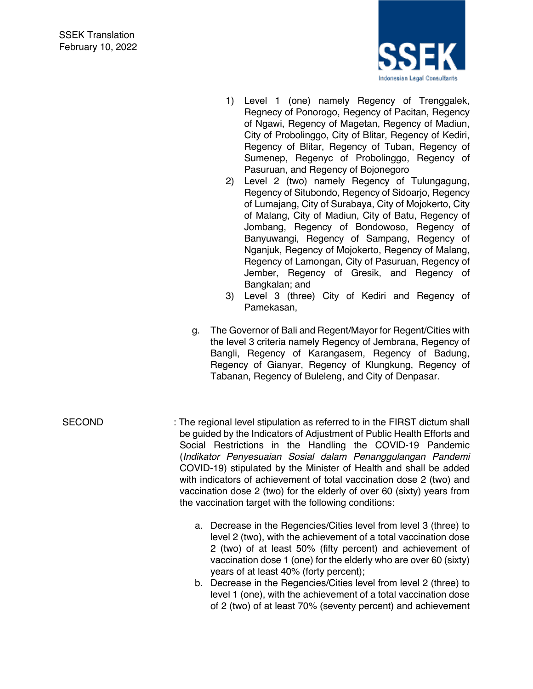

- 1) Level 1 (one) namely Regency of Trenggalek, Regnecy of Ponorogo, Regency of Pacitan, Regency of Ngawi, Regency of Magetan, Regency of Madiun, City of Probolinggo, City of Blitar, Regency of Kediri, Regency of Blitar, Regency of Tuban, Regency of Sumenep, Regenyc of Probolinggo, Regency of Pasuruan, and Regency of Bojonegoro
- 2) Level 2 (two) namely Regency of Tulungagung, Regency of Situbondo, Regency of Sidoarjo, Regency of Lumajang, City of Surabaya, City of Mojokerto, City of Malang, City of Madiun, City of Batu, Regency of Jombang, Regency of Bondowoso, Regency of Banyuwangi, Regency of Sampang, Regency of Nganjuk, Regency of Mojokerto, Regency of Malang, Regency of Lamongan, City of Pasuruan, Regency of Jember, Regency of Gresik, and Regency of Bangkalan; and
- 3) Level 3 (three) City of Kediri and Regency of Pamekasan,
- g. The Governor of Bali and Regent/Mayor for Regent/Cities with the level 3 criteria namely Regency of Jembrana, Regency of Bangli, Regency of Karangasem, Regency of Badung, Regency of Gianyar, Regency of Klungkung, Regency of Tabanan, Regency of Buleleng, and City of Denpasar.

- 
- SECOND : The regional level stipulation as referred to in the FIRST dictum shall be guided by the Indicators of Adjustment of Public Health Efforts and Social Restrictions in the Handling the COVID-19 Pandemic (*Indikator Penyesuaian Sosial dalam Penanggulangan Pandemi* COVID-19) stipulated by the Minister of Health and shall be added with indicators of achievement of total vaccination dose 2 (two) and vaccination dose 2 (two) for the elderly of over 60 (sixty) years from the vaccination target with the following conditions:
	- a. Decrease in the Regencies/Cities level from level 3 (three) to level 2 (two), with the achievement of a total vaccination dose 2 (two) of at least 50% (fifty percent) and achievement of vaccination dose 1 (one) for the elderly who are over 60 (sixty) years of at least 40% (forty percent);
	- b. Decrease in the Regencies/Cities level from level 2 (three) to level 1 (one), with the achievement of a total vaccination dose of 2 (two) of at least 70% (seventy percent) and achievement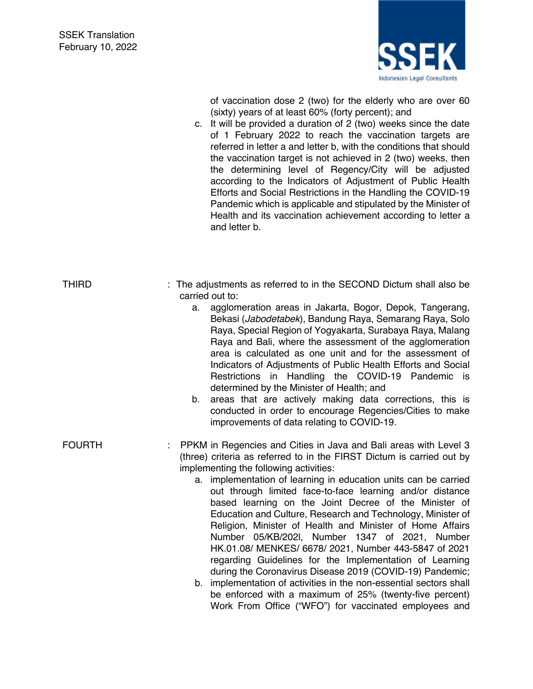

of vaccination dose 2 (two) for the elderly who are over 60 (sixty) years of at least 60% (forty percent); and

c. It will be provided a duration of 2 (two) weeks since the date of 1 February 2022 to reach the vaccination targets are referred in letter a and letter b, with the conditions that should the vaccination target is not achieved in 2 (two) weeks, then the determining level of Regency/City will be adjusted according to the Indicators of Adjustment of Public Health Efforts and Social Restrictions in the Handling the COVID-19 Pandemic which is applicable and stipulated by the Minister of Health and its vaccination achievement according to letter a and letter b.

| THIRD         | : The adjustments as referred to in the SECOND Dictum shall also be<br>carried out to:                                                                                                                                                                                                                                                                                                                                                                                                                                                                                                                                                                                                                                                                                                                                                                                                                                               |
|---------------|--------------------------------------------------------------------------------------------------------------------------------------------------------------------------------------------------------------------------------------------------------------------------------------------------------------------------------------------------------------------------------------------------------------------------------------------------------------------------------------------------------------------------------------------------------------------------------------------------------------------------------------------------------------------------------------------------------------------------------------------------------------------------------------------------------------------------------------------------------------------------------------------------------------------------------------|
|               | agglomeration areas in Jakarta, Bogor, Depok, Tangerang,<br>a.<br>Bekasi (Jabodetabek), Bandung Raya, Semarang Raya, Solo<br>Raya, Special Region of Yogyakarta, Surabaya Raya, Malang<br>Raya and Bali, where the assessment of the agglomeration<br>area is calculated as one unit and for the assessment of<br>Indicators of Adjustments of Public Health Efforts and Social<br>Restrictions in Handling the COVID-19 Pandemic is<br>determined by the Minister of Health; and                                                                                                                                                                                                                                                                                                                                                                                                                                                    |
|               | areas that are actively making data corrections, this is<br>b.<br>conducted in order to encourage Regencies/Cities to make<br>improvements of data relating to COVID-19.                                                                                                                                                                                                                                                                                                                                                                                                                                                                                                                                                                                                                                                                                                                                                             |
| <b>FOURTH</b> | PPKM in Regencies and Cities in Java and Bali areas with Level 3<br>(three) criteria as referred to in the FIRST Dictum is carried out by<br>implementing the following activities:<br>a. implementation of learning in education units can be carried<br>out through limited face-to-face learning and/or distance<br>based learning on the Joint Decree of the Minister of<br>Education and Culture, Research and Technology, Minister of<br>Religion, Minister of Health and Minister of Home Affairs<br>Number 05/KB/202I, Number 1347 of 2021, Number<br>HK.01.08/ MENKES/ 6678/ 2021, Number 443-5847 of 2021<br>regarding Guidelines for the Implementation of Learning<br>during the Coronavirus Disease 2019 (COVID-19) Pandemic;<br>b. implementation of activities in the non-essential sectors shall<br>be enforced with a maximum of 25% (twenty-five percent)<br>Work From Office ("WFO") for vaccinated employees and |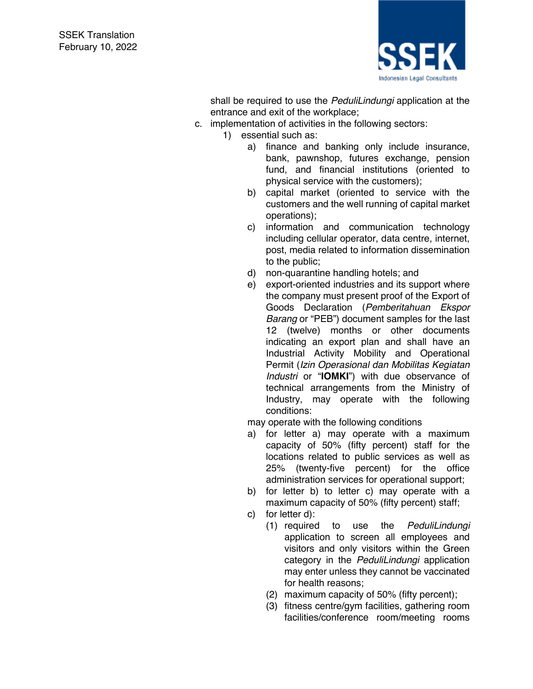

shall be required to use the *PeduliLindungi* application at the entrance and exit of the workplace;

- c. implementation of activities in the following sectors:
	- 1) essential such as:
		- a) finance and banking only include insurance, bank, pawnshop, futures exchange, pension fund, and financial institutions (oriented to physical service with the customers);
		- b) capital market (oriented to service with the customers and the well running of capital market operations);
		- c) information and communication technology including cellular operator, data centre, internet, post, media related to information dissemination to the public;
		- d) non-quarantine handling hotels; and
		- e) export-oriented industries and its support where the company must present proof of the Export of Goods Declaration (*Pemberitahuan Ekspor Barang* or "PEB") document samples for the last 12 (twelve) months or other documents indicating an export plan and shall have an Industrial Activity Mobility and Operational Permit (*Izin Operasional dan Mobilitas Kegiatan Industri* or "**IOMKI**") with due observance of technical arrangements from the Ministry of Industry, may operate with the following conditions:

may operate with the following conditions

- a) for letter a) may operate with a maximum capacity of 50% (fifty percent) staff for the locations related to public services as well as 25% (twenty-five percent) for the office administration services for operational support;
- b) for letter b) to letter c) may operate with a maximum capacity of 50% (fifty percent) staff;
- c) for letter d):
	- (1) required to use the *PeduliLindungi* application to screen all employees and visitors and only visitors within the Green category in the *PeduliLindungi* application may enter unless they cannot be vaccinated for health reasons;
	- (2) maximum capacity of 50% (fifty percent);
	- (3) fitness centre/gym facilities, gathering room facilities/conference room/meeting rooms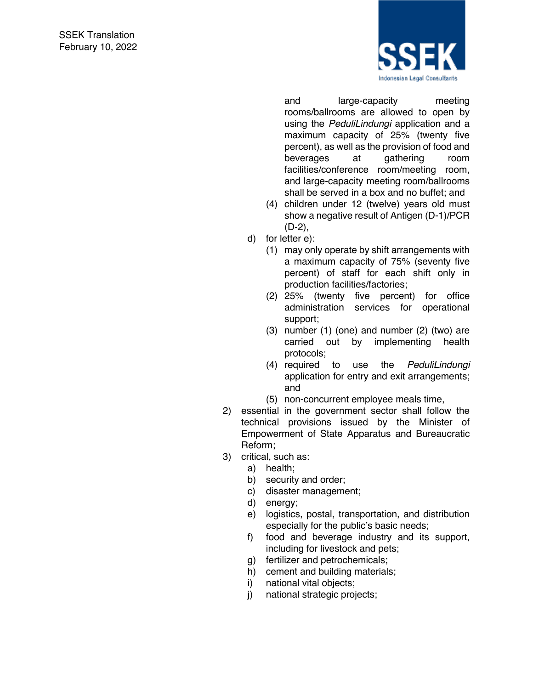

and large-capacity meeting rooms/ballrooms are allowed to open by using the *PeduliLindungi* application and a maximum capacity of 25% (twenty five percent), as well as the provision of food and beverages at gathering room facilities/conference room/meeting room, and large-capacity meeting room/ballrooms shall be served in a box and no buffet; and

- (4) children under 12 (twelve) years old must show a negative result of Antigen (D-1)/PCR (D-2),
- d) for letter e):
	- (1) may only operate by shift arrangements with a maximum capacity of 75% (seventy five percent) of staff for each shift only in production facilities/factories;
	- (2) 25% (twenty five percent) for office administration services for operational support;
	- (3) number (1) (one) and number (2) (two) are carried out by implementing health protocols;
	- (4) required to use the *PeduliLindungi* application for entry and exit arrangements; and
	- (5) non-concurrent employee meals time,
- 2) essential in the government sector shall follow the technical provisions issued by the Minister of Empowerment of State Apparatus and Bureaucratic Reform;
- 3) critical, such as:
	- a) health;
		- b) security and order;
		- c) disaster management;
	- d) energy;
	- e) logistics, postal, transportation, and distribution especially for the public's basic needs;
	- f) food and beverage industry and its support, including for livestock and pets;
	- g) fertilizer and petrochemicals;
	- h) cement and building materials;
	- i) national vital objects;
	- j) national strategic projects;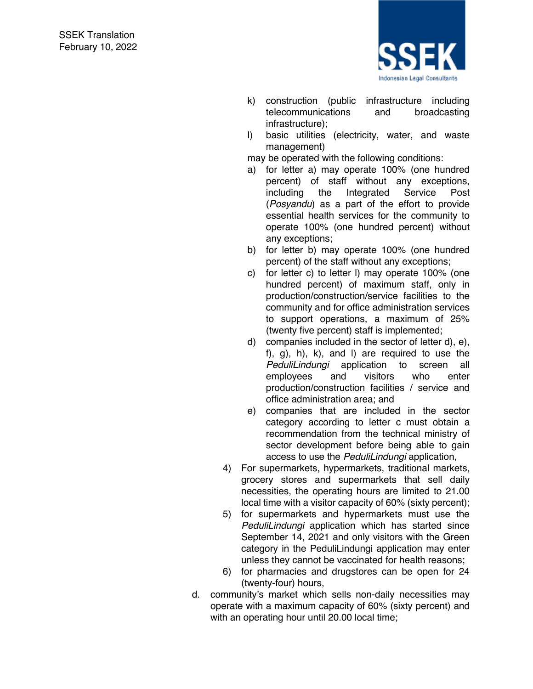

- k) construction (public infrastructure including telecommunications and broadcasting infrastructure);
- l) basic utilities (electricity, water, and waste management)

may be operated with the following conditions:

- a) for letter a) may operate 100% (one hundred percent) of staff without any exceptions, including the Integrated Service Post (*Posyandu*) as a part of the effort to provide essential health services for the community to operate 100% (one hundred percent) without any exceptions;
- b) for letter b) may operate 100% (one hundred percent) of the staff without any exceptions;
- c) for letter c) to letter l) may operate 100% (one hundred percent) of maximum staff, only in production/construction/service facilities to the community and for office administration services to support operations, a maximum of 25% (twenty five percent) staff is implemented;
- d) companies included in the sector of letter d), e), f), g), h), k), and l) are required to use the *PeduliLindungi* application to screen all employees and visitors who enter production/construction facilities / service and office administration area; and
- e) companies that are included in the sector category according to letter c must obtain a recommendation from the technical ministry of sector development before being able to gain access to use the *PeduliLindungi* application,
- 4) For supermarkets, hypermarkets, traditional markets, grocery stores and supermarkets that sell daily necessities, the operating hours are limited to 21.00 local time with a visitor capacity of 60% (sixty percent);
- 5) for supermarkets and hypermarkets must use the *PeduliLindungi* application which has started since September 14, 2021 and only visitors with the Green category in the PeduliLindungi application may enter unless they cannot be vaccinated for health reasons;
- 6) for pharmacies and drugstores can be open for 24 (twenty-four) hours,
- d. community's market which sells non-daily necessities may operate with a maximum capacity of 60% (sixty percent) and with an operating hour until 20.00 local time;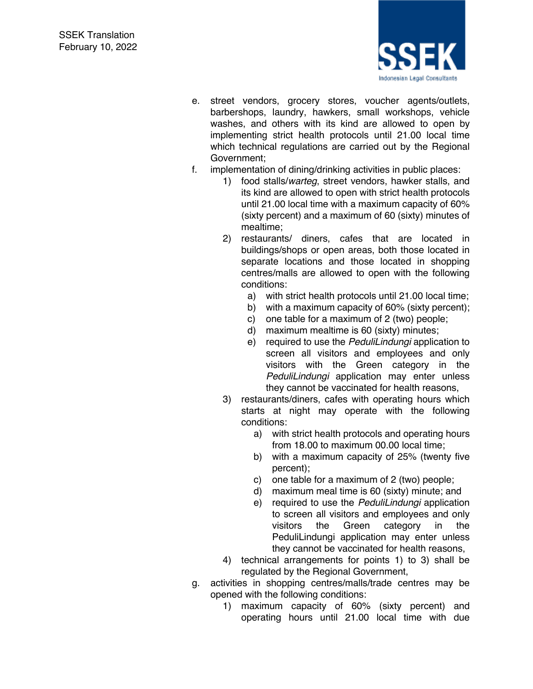

- e. street vendors, grocery stores, voucher agents/outlets, barbershops, laundry, hawkers, small workshops, vehicle washes, and others with its kind are allowed to open by implementing strict health protocols until 21.00 local time which technical regulations are carried out by the Regional Government;
- f. implementation of dining/drinking activities in public places:
	- 1) food stalls/*warteg*, street vendors, hawker stalls, and its kind are allowed to open with strict health protocols until 21.00 local time with a maximum capacity of 60% (sixty percent) and a maximum of 60 (sixty) minutes of mealtime;
	- 2) restaurants/ diners, cafes that are located in buildings/shops or open areas, both those located in separate locations and those located in shopping centres/malls are allowed to open with the following conditions:
		- a) with strict health protocols until 21.00 local time;
		- b) with a maximum capacity of 60% (sixty percent);
		- c) one table for a maximum of 2 (two) people;
		- d) maximum mealtime is 60 (sixty) minutes;
		- e) required to use the *PeduliLindungi* application to screen all visitors and employees and only visitors with the Green category in the *PeduliLindungi* application may enter unless they cannot be vaccinated for health reasons,
	- 3) restaurants/diners, cafes with operating hours which starts at night may operate with the following conditions:
		- a) with strict health protocols and operating hours from 18.00 to maximum 00.00 local time;
		- b) with a maximum capacity of 25% (twenty five percent);
		- c) one table for a maximum of 2 (two) people;
		- d) maximum meal time is 60 (sixty) minute; and
		- e) required to use the *PeduliLindungi* application to screen all visitors and employees and only visitors the Green category in the PeduliLindungi application may enter unless they cannot be vaccinated for health reasons,
	- 4) technical arrangements for points 1) to 3) shall be regulated by the Regional Government,
- g. activities in shopping centres/malls/trade centres may be opened with the following conditions:
	- 1) maximum capacity of 60% (sixty percent) and operating hours until 21.00 local time with due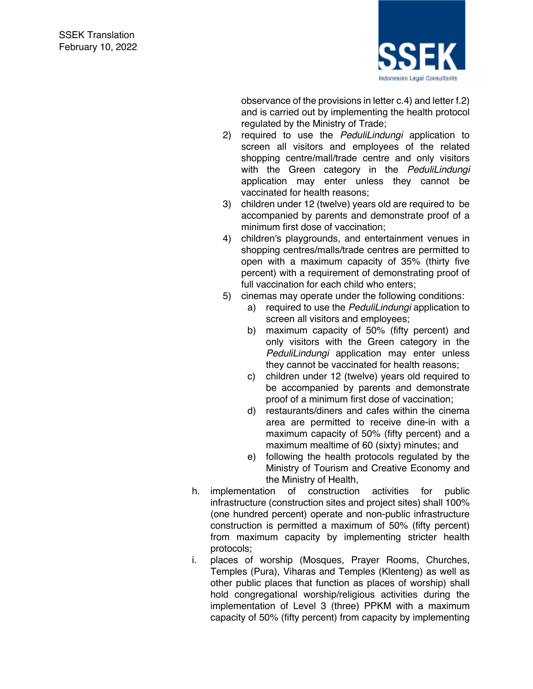

observance of the provisions in letter c.4) and letter f.2) and is carried out by implementing the health protocol regulated by the Ministry of Trade;

- 2) required to use the *PeduliLindungi* application to screen all visitors and employees of the related shopping centre/mall/trade centre and only visitors with the Green category in the *PeduliLindungi* application may enter unless they cannot be vaccinated for health reasons;
- 3) children under 12 (twelve) years old are required to be accompanied by parents and demonstrate proof of a minimum first dose of vaccination;
- 4) children's playgrounds, and entertainment venues in shopping centres/malls/trade centres are permitted to open with a maximum capacity of 35% (thirty five percent) with a requirement of demonstrating proof of full vaccination for each child who enters;
- 5) cinemas may operate under the following conditions:
	- a) required to use the *PeduliLindungi* application to screen all visitors and employees;
	- b) maximum capacity of 50% (fifty percent) and only visitors with the Green category in the *PeduliLindungi* application may enter unless they cannot be vaccinated for health reasons;
	- c) children under 12 (twelve) years old required to be accompanied by parents and demonstrate proof of a minimum first dose of vaccination;
	- d) restaurants/diners and cafes within the cinema area are permitted to receive dine-in with a maximum capacity of 50% (fifty percent) and a maximum mealtime of 60 (sixty) minutes; and
	- e) following the health protocols regulated by the Ministry of Tourism and Creative Economy and the Ministry of Health,
- h. implementation of construction activities for public infrastructure (construction sites and project sites) shall 100% (one hundred percent) operate and non-public infrastructure construction is permitted a maximum of 50% (fifty percent) from maximum capacity by implementing stricter health protocols;
- i. places of worship (Mosques, Prayer Rooms, Churches, Temples (Pura), Viharas and Temples (Klenteng) as well as other public places that function as places of worship) shall hold congregational worship/religious activities during the implementation of Level 3 (three) PPKM with a maximum capacity of 50% (fifty percent) from capacity by implementing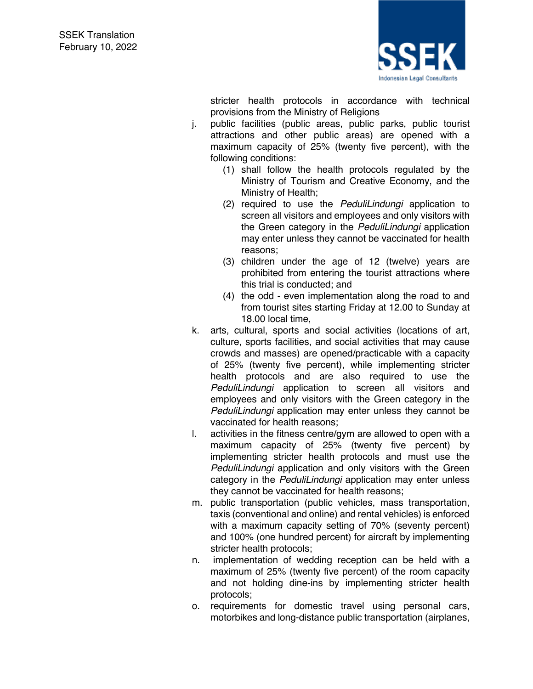

stricter health protocols in accordance with technical provisions from the Ministry of Religions

- j. public facilities (public areas, public parks, public tourist attractions and other public areas) are opened with a maximum capacity of 25% (twenty five percent), with the following conditions:
	- (1) shall follow the health protocols regulated by the Ministry of Tourism and Creative Economy, and the Ministry of Health;
	- (2) required to use the *PeduliLindungi* application to screen all visitors and employees and only visitors with the Green category in the *PeduliLindungi* application may enter unless they cannot be vaccinated for health reasons;
	- (3) children under the age of 12 (twelve) years are prohibited from entering the tourist attractions where this trial is conducted; and
	- (4) the odd even implementation along the road to and from tourist sites starting Friday at 12.00 to Sunday at 18.00 local time,
- k. arts, cultural, sports and social activities (locations of art, culture, sports facilities, and social activities that may cause crowds and masses) are opened/practicable with a capacity of 25% (twenty five percent), while implementing stricter health protocols and are also required to use the *PeduliLindungi* application to screen all visitors and employees and only visitors with the Green category in the *PeduliLindungi* application may enter unless they cannot be vaccinated for health reasons;
- l. activities in the fitness centre/gym are allowed to open with a maximum capacity of 25% (twenty five percent) by implementing stricter health protocols and must use the *PeduliLindungi* application and only visitors with the Green category in the *PeduliLindungi* application may enter unless they cannot be vaccinated for health reasons;
- m. public transportation (public vehicles, mass transportation, taxis (conventional and online) and rental vehicles) is enforced with a maximum capacity setting of 70% (seventy percent) and 100% (one hundred percent) for aircraft by implementing stricter health protocols;
- n. implementation of wedding reception can be held with a maximum of 25% (twenty five percent) of the room capacity and not holding dine-ins by implementing stricter health protocols;
- o. requirements for domestic travel using personal cars, motorbikes and long-distance public transportation (airplanes,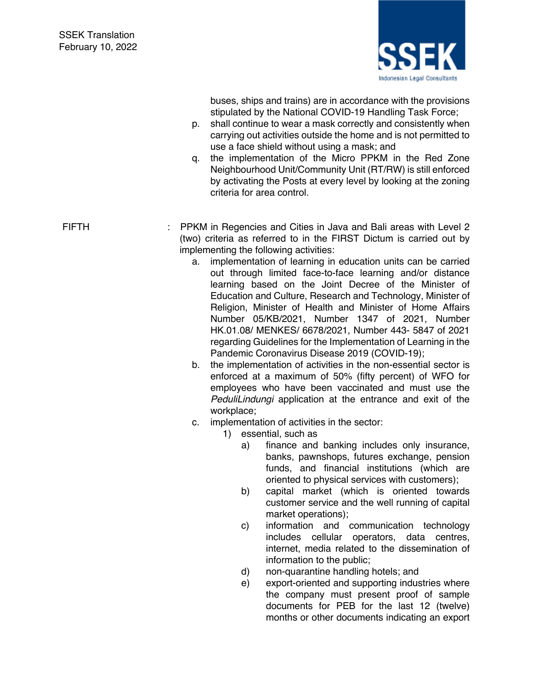

buses, ships and trains) are in accordance with the provisions stipulated by the National COVID-19 Handling Task Force;

- p. shall continue to wear a mask correctly and consistently when carrying out activities outside the home and is not permitted to use a face shield without using a mask; and
- q. the implementation of the Micro PPKM in the Red Zone Neighbourhood Unit/Community Unit (RT/RW) is still enforced by activating the Posts at every level by looking at the zoning criteria for area control.

FIFTH : PPKM in Regencies and Cities in Java and Bali areas with Level 2 (two) criteria as referred to in the FIRST Dictum is carried out by implementing the following activities:

- a. implementation of learning in education units can be carried out through limited face-to-face learning and/or distance learning based on the Joint Decree of the Minister of Education and Culture, Research and Technology, Minister of Religion, Minister of Health and Minister of Home Affairs Number 05/KB/2021, Number 1347 of 2021, Number HK.01.08/ MENKES/ 6678/2021, Number 443- 5847 of 2021 regarding Guidelines for the Implementation of Learning in the Pandemic Coronavirus Disease 2019 (COVID-19);
- b. the implementation of activities in the non-essential sector is enforced at a maximum of 50% (fifty percent) of WFO for employees who have been vaccinated and must use the *PeduliLindungi* application at the entrance and exit of the workplace;
- c. implementation of activities in the sector:
	- 1) essential, such as
		- a) finance and banking includes only insurance, banks, pawnshops, futures exchange, pension funds, and financial institutions (which are oriented to physical services with customers);
		- b) capital market (which is oriented towards customer service and the well running of capital market operations);
		- c) information and communication technology includes cellular operators, data centres, internet, media related to the dissemination of information to the public;
		- d) non-quarantine handling hotels; and
		- e) export-oriented and supporting industries where the company must present proof of sample documents for PEB for the last 12 (twelve) months or other documents indicating an export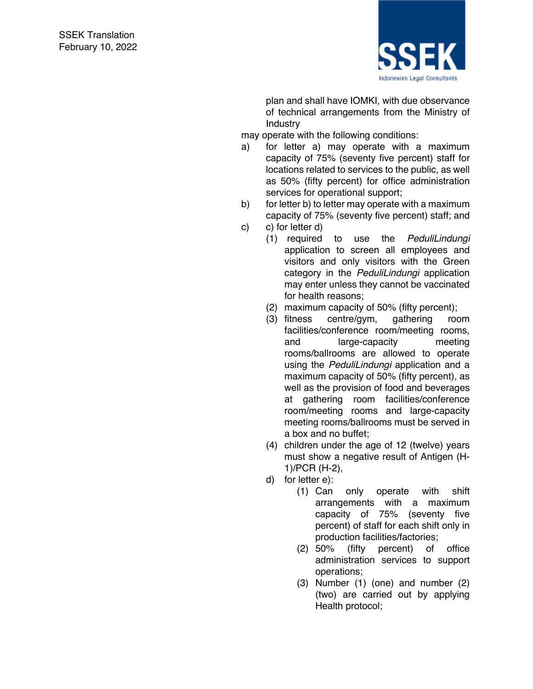

plan and shall have IOMKI, with due observance of technical arrangements from the Ministry of **Industry** 

may operate with the following conditions:

- a) for letter a) may operate with a maximum capacity of 75% (seventy five percent) staff for locations related to services to the public, as well as 50% (fifty percent) for office administration services for operational support;
- b) for letter b) to letter may operate with a maximum capacity of 75% (seventy five percent) staff; and c) c) for letter d)
	- (1) required to use the *PeduliLindungi* application to screen all employees and visitors and only visitors with the Green category in the *PeduliLindungi* application may enter unless they cannot be vaccinated for health reasons;
	- (2) maximum capacity of 50% (fifty percent);
	- (3) fitness centre/gym, gathering room facilities/conference room/meeting rooms, and large-capacity meeting rooms/ballrooms are allowed to operate using the *PeduliLindungi* application and a maximum capacity of 50% (fifty percent), as well as the provision of food and beverages at gathering room facilities/conference room/meeting rooms and large-capacity meeting rooms/ballrooms must be served in a box and no buffet;
	- (4) children under the age of 12 (twelve) years must show a negative result of Antigen (H-1)/PCR (H-2),
	- d) for letter e):
		- (1) Can only operate with shift arrangements with a maximum capacity of 75% (seventy five percent) of staff for each shift only in production facilities/factories;
		- (2) 50% (fifty percent) of office administration services to support operations;
		- (3) Number (1) (one) and number (2) (two) are carried out by applying Health protocol;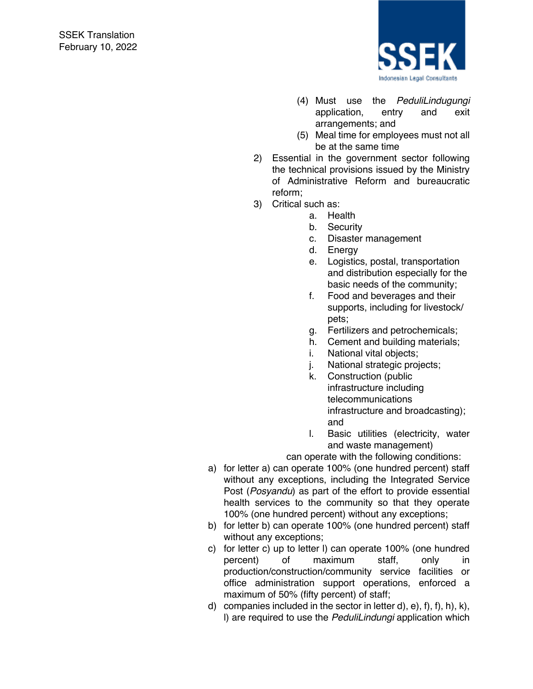

- (4) Must use the *PeduliLindugungi* application, entry and exit arrangements; and
- (5) Meal time for employees must not all be at the same time
- 2) Essential in the government sector following the technical provisions issued by the Ministry of Administrative Reform and bureaucratic reform;
- 3) Critical such as:
	- a. Health
	- b. Security
	- c. Disaster management
	- d. Energy
	- e. Logistics, postal, transportation and distribution especially for the basic needs of the community;
	- f. Food and beverages and their supports, including for livestock/ pets;
	- g. Fertilizers and petrochemicals;
	- h. Cement and building materials;
	- i. National vital objects;
	- j. National strategic projects;
	- k. Construction (public infrastructure including telecommunications infrastructure and broadcasting); and
	- l. Basic utilities (electricity, water and waste management)

can operate with the following conditions:

- a) for letter a) can operate 100% (one hundred percent) staff without any exceptions, including the Integrated Service Post (*Posyandu*) as part of the effort to provide essential health services to the community so that they operate 100% (one hundred percent) without any exceptions;
- b) for letter b) can operate 100% (one hundred percent) staff without any exceptions;
- c) for letter c) up to letter l) can operate 100% (one hundred percent) of maximum staff, only in production/construction/community service facilities or office administration support operations, enforced a maximum of 50% (fifty percent) of staff;
- d) companies included in the sector in letter d), e), f), f), h), k), l) are required to use the *PeduliLindungi* application which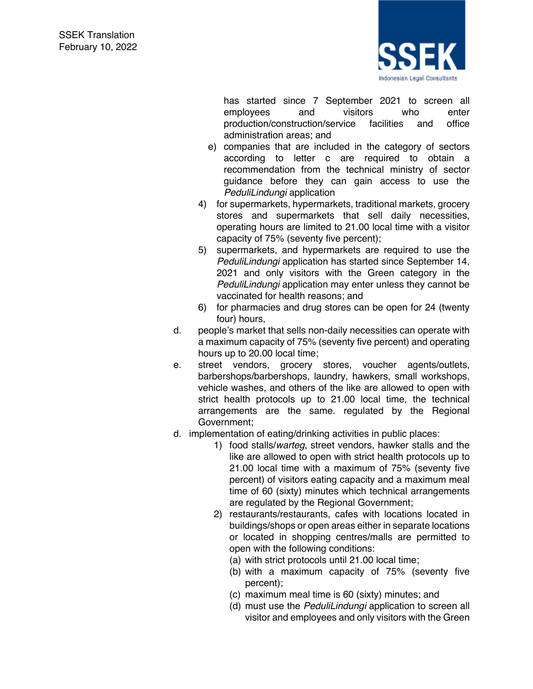

has started since 7 September 2021 to screen all employees and visitors who enter production/construction/service facilities and office administration areas; and

- e) companies that are included in the category of sectors according to letter c are required to obtain a recommendation from the technical ministry of sector guidance before they can gain access to use the *PeduliLindungi* application
- 4) for supermarkets, hypermarkets, traditional markets, grocery stores and supermarkets that sell daily necessities, operating hours are limited to 21.00 local time with a visitor capacity of 75% (seventy five percent);
- 5) supermarkets, and hypermarkets are required to use the *PeduliLindungi* application has started since September 14, 2021 and only visitors with the Green category in the *PeduliLindungi* application may enter unless they cannot be vaccinated for health reasons; and
- 6) for pharmacies and drug stores can be open for 24 (twenty four) hours,
- d. people's market that sells non-daily necessities can operate with a maximum capacity of 75% (seventy five percent) and operating hours up to 20.00 local time;
- e. street vendors, grocery stores, voucher agents/outlets, barbershops/barbershops, laundry, hawkers, small workshops, vehicle washes, and others of the like are allowed to open with strict health protocols up to 21.00 local time, the technical arrangements are the same. regulated by the Regional Government;
- d. implementation of eating/drinking activities in public places:
	- 1) food stalls/*warteg*, street vendors, hawker stalls and the like are allowed to open with strict health protocols up to 21.00 local time with a maximum of 75% (seventy five percent) of visitors eating capacity and a maximum meal time of 60 (sixty) minutes which technical arrangements are regulated by the Regional Government;
	- 2) restaurants/restaurants, cafes with locations located in buildings/shops or open areas either in separate locations or located in shopping centres/malls are permitted to open with the following conditions:
		- (a) with strict protocols until 21.00 local time;
		- (b) with a maximum capacity of 75% (seventy five percent);
		- (c) maximum meal time is 60 (sixty) minutes; and
		- (d) must use the *PeduliLindungi* application to screen all visitor and employees and only visitors with the Green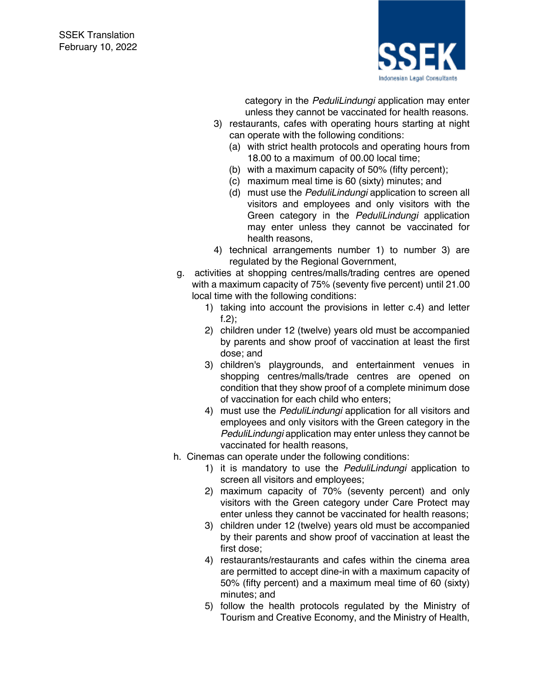

category in the *PeduliLindungi* application may enter unless they cannot be vaccinated for health reasons.

- 3) restaurants, cafes with operating hours starting at night can operate with the following conditions:
	- (a) with strict health protocols and operating hours from 18.00 to a maximum of 00.00 local time;
	- (b) with a maximum capacity of 50% (fifty percent);
	- (c) maximum meal time is 60 (sixty) minutes; and
	- (d) must use the *PeduliLindungi* application to screen all visitors and employees and only visitors with the Green category in the *PeduliLindungi* application may enter unless they cannot be vaccinated for health reasons,
- 4) technical arrangements number 1) to number 3) are regulated by the Regional Government,
- g. activities at shopping centres/malls/trading centres are opened with a maximum capacity of 75% (seventy five percent) until 21.00 local time with the following conditions:
	- 1) taking into account the provisions in letter c.4) and letter f.2);
	- 2) children under 12 (twelve) years old must be accompanied by parents and show proof of vaccination at least the first dose; and
	- 3) children's playgrounds, and entertainment venues in shopping centres/malls/trade centres are opened on condition that they show proof of a complete minimum dose of vaccination for each child who enters;
	- 4) must use the *PeduliLindungi* application for all visitors and employees and only visitors with the Green category in the *PeduliLindungi* application may enter unless they cannot be vaccinated for health reasons,
- h. Cinemas can operate under the following conditions:
	- 1) it is mandatory to use the *PeduliLindungi* application to screen all visitors and employees;
	- 2) maximum capacity of 70% (seventy percent) and only visitors with the Green category under Care Protect may enter unless they cannot be vaccinated for health reasons;
	- 3) children under 12 (twelve) years old must be accompanied by their parents and show proof of vaccination at least the first dose;
	- 4) restaurants/restaurants and cafes within the cinema area are permitted to accept dine-in with a maximum capacity of 50% (fifty percent) and a maximum meal time of 60 (sixty) minutes; and
	- 5) follow the health protocols regulated by the Ministry of Tourism and Creative Economy, and the Ministry of Health,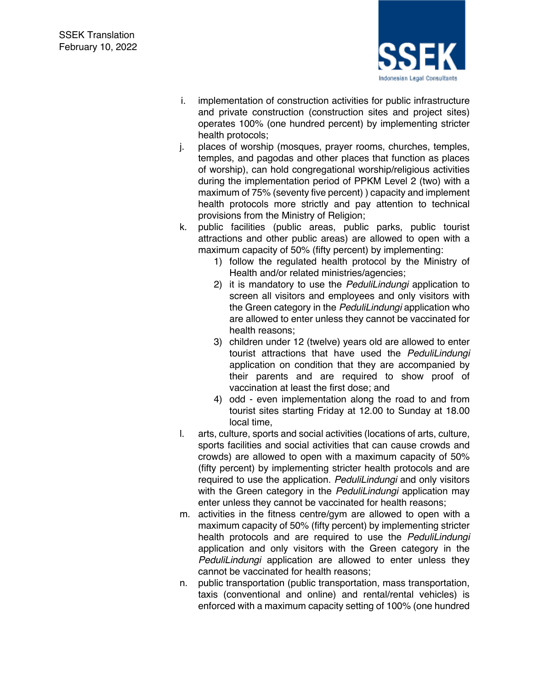

- i. implementation of construction activities for public infrastructure and private construction (construction sites and project sites) operates 100% (one hundred percent) by implementing stricter health protocols;
- j. places of worship (mosques, prayer rooms, churches, temples, temples, and pagodas and other places that function as places of worship), can hold congregational worship/religious activities during the implementation period of PPKM Level 2 (two) with a maximum of 75% (seventy five percent) ) capacity and implement health protocols more strictly and pay attention to technical provisions from the Ministry of Religion;
- k. public facilities (public areas, public parks, public tourist attractions and other public areas) are allowed to open with a maximum capacity of 50% (fifty percent) by implementing:
	- 1) follow the regulated health protocol by the Ministry of Health and/or related ministries/agencies;
	- 2) it is mandatory to use the *PeduliLindungi* application to screen all visitors and employees and only visitors with the Green category in the *PeduliLindungi* application who are allowed to enter unless they cannot be vaccinated for health reasons;
	- 3) children under 12 (twelve) years old are allowed to enter tourist attractions that have used the *PeduliLindungi* application on condition that they are accompanied by their parents and are required to show proof of vaccination at least the first dose; and
	- 4) odd even implementation along the road to and from tourist sites starting Friday at 12.00 to Sunday at 18.00 local time,
- l. arts, culture, sports and social activities (locations of arts, culture, sports facilities and social activities that can cause crowds and crowds) are allowed to open with a maximum capacity of 50% (fifty percent) by implementing stricter health protocols and are required to use the application. *PeduliLindungi* and only visitors with the Green category in the *PeduliLindungi* application may enter unless they cannot be vaccinated for health reasons;
- m. activities in the fitness centre/gym are allowed to open with a maximum capacity of 50% (fifty percent) by implementing stricter health protocols and are required to use the *PeduliLindungi* application and only visitors with the Green category in the *PeduliLindungi* application are allowed to enter unless they cannot be vaccinated for health reasons;
- n. public transportation (public transportation, mass transportation, taxis (conventional and online) and rental/rental vehicles) is enforced with a maximum capacity setting of 100% (one hundred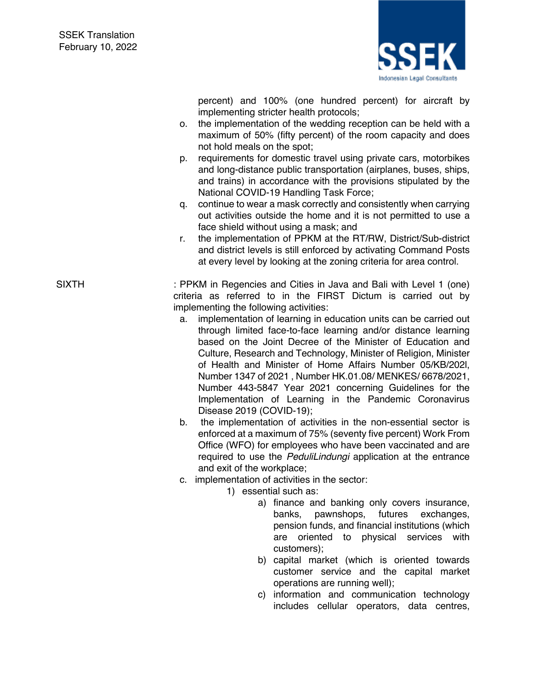

percent) and 100% (one hundred percent) for aircraft by implementing stricter health protocols;

- o. the implementation of the wedding reception can be held with a maximum of 50% (fifty percent) of the room capacity and does not hold meals on the spot;
- p. requirements for domestic travel using private cars, motorbikes and long-distance public transportation (airplanes, buses, ships, and trains) in accordance with the provisions stipulated by the National COVID-19 Handling Task Force;
- q. continue to wear a mask correctly and consistently when carrying out activities outside the home and it is not permitted to use a face shield without using a mask; and
- r. the implementation of PPKM at the RT/RW, District/Sub-district and district levels is still enforced by activating Command Posts at every level by looking at the zoning criteria for area control.

SIXTH : PPKM in Regencies and Cities in Java and Bali with Level 1 (one) criteria as referred to in the FIRST Dictum is carried out by implementing the following activities:

- a. implementation of learning in education units can be carried out through limited face-to-face learning and/or distance learning based on the Joint Decree of the Minister of Education and Culture, Research and Technology, Minister of Religion, Minister of Health and Minister of Home Affairs Number 05/KB/202l, Number 1347 of 2021 , Number HK.01.08/ MENKES/ 6678/2021, Number 443-5847 Year 2021 concerning Guidelines for the Implementation of Learning in the Pandemic Coronavirus Disease 2019 (COVID-19);
- b. the implementation of activities in the non-essential sector is enforced at a maximum of 75% (seventy five percent) Work From Office (WFO) for employees who have been vaccinated and are required to use the *PeduliLindungi* application at the entrance and exit of the workplace;
- c. implementation of activities in the sector:
	- 1) essential such as:
		- a) finance and banking only covers insurance, banks, pawnshops, futures exchanges, pension funds, and financial institutions (which are oriented to physical services with customers);
		- b) capital market (which is oriented towards customer service and the capital market operations are running well);
		- c) information and communication technology includes cellular operators, data centres,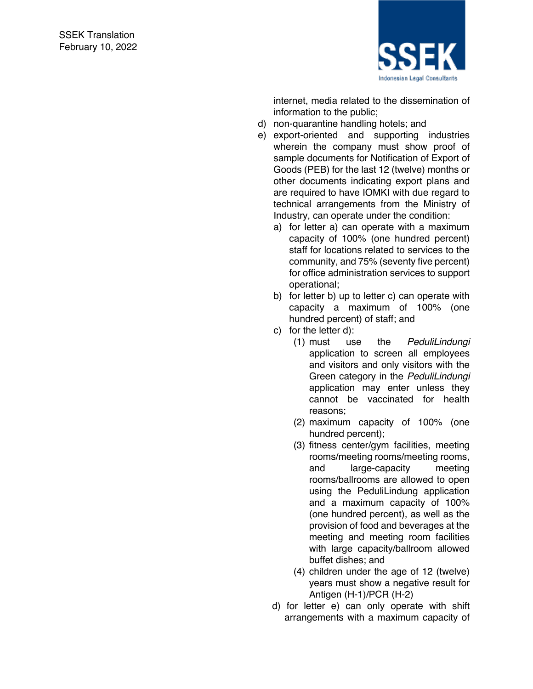

internet, media related to the dissemination of information to the public;

- d) non -quarantine handling hotels; and
- e) export -oriented and supporting industries wherein the company must show proof of sample documents for Notification of Export of Goods (PEB) for the last 12 (twelve) months or other documents indicating export plans and are required to have IOMKI with due regard to technical arrangements from the Ministry of Industry, can operate under the condition:
	- a) for letter a) can operate with a maximum capacity of 100% (one hundred percent) staff for locations related to services to the community, and 75% (seventy five percent) for office administration services to support operational;
	- b) for letter b) up to letter c) can operate with capacity a maximum of 100% (one hundred percent) of staff; and
	- c) for the letter d):
		- (1) must use the *PeduliLindungi* application to screen all employees and visitors and only visitors with the Green category in the *PeduliLindungi* application may enter unless they cannot be vaccinated for health reasons;
		- (2) maximum capacity of 100% (one hundred percent);
		- (3) fitness center/gym facilities, meeting rooms/meeting rooms/meeting rooms, and large -capacity meeting rooms/ballrooms are allowed to open using the PeduliLindung application and a maximum capacity of 100% (one hundred percent), as well as the provision of food and beverages at the meeting and meeting room facilities with large capacity/ballroom allowed buffet dishes; and
		- (4) children under the age of 12 (twelve) years must show a negative result for Antigen (H -1)/PCR (H -2)
	- d) for letter e) can only operate with shift arrangements with a maximum capacity of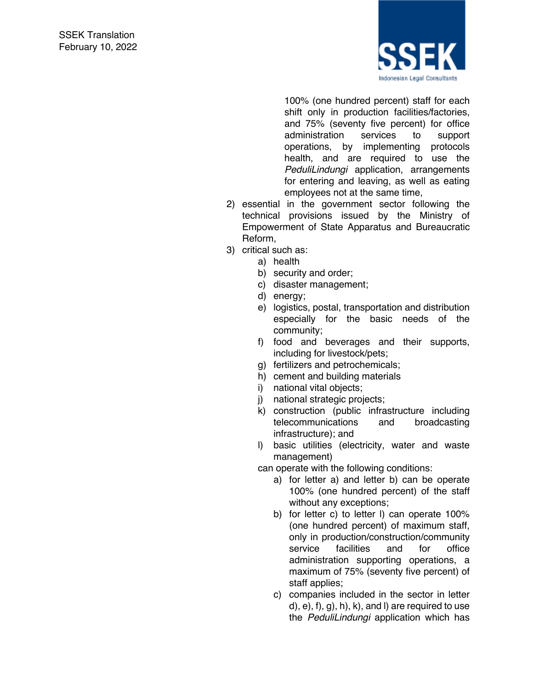

100% (one hundred percent) staff for each shift only in production facilities/factories, and 75% (seventy five percent) for office administration services to support operations, by implementing protocols health, and are required to use the *PeduliLindungi* application, arrangements for entering and leaving, as well as eating employees not at the same time,

- 2) essential in the government sector following the technical provisions issued by the Ministry of Empowerment of State Apparatus and Bureaucratic Reform,
- 3) critical such as:
	- a) health
	- b) security and order;
	- c) disaster management;
	- d) energy;
	- e) logistics, postal, transportation and distribution especially for the basic needs of the community;
	- f) food and beverages and their supports, including for livestock/pets;
	- g) fertilizers and petrochemicals;
	- h) cement and building materials
	- i) national vital objects;
	- j) national strategic projects;
	- k) construction (public infrastructure including telecommunications and broadcasting infrastructure); and
	- l) basic utilities (electricity, water and waste management)

can operate with the following conditions:

- a) for letter a) and letter b) can be operate 100% (one hundred percent) of the staff without any exceptions;
- b) for letter c) to letter l) can operate 100% (one hundred percent) of maximum staff, only in production/construction/community service facilities and for office administration supporting operations, a maximum of 75% (seventy five percent) of staff applies;
- c) companies included in the sector in letter  $(d)$ ,  $e$ ),  $f$ ),  $g$ ),  $h$ ),  $k$ ), and  $l$ ) are required to use the *PeduliLindungi* application which has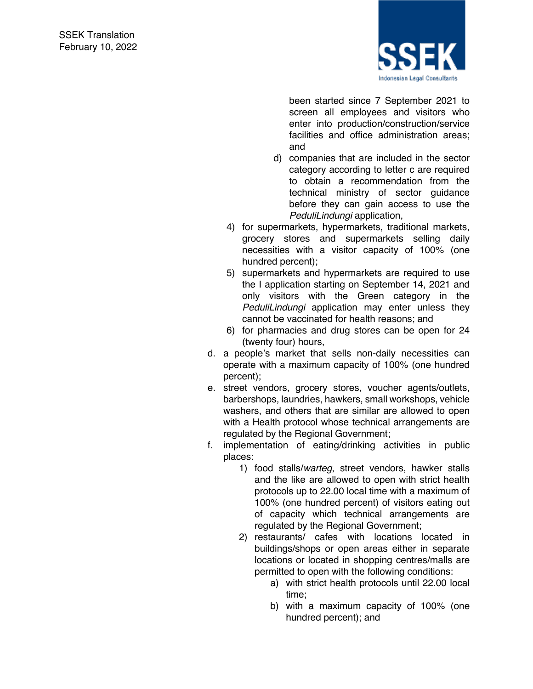

been started since 7 September 2021 to screen all employees and visitors who enter into production/construction/service facilities and office administration areas; and

- d) companies that are included in the sector category according to letter c are required to obtain a recommendation from the technical ministry of sector guidance before they can gain access to use the *PeduliLindungi* application,
- 4) for supermarkets, hypermarkets, traditional markets, grocery stores and supermarkets selling daily necessities with a visitor capacity of 100% (one hundred percent);
- 5) supermarkets and hypermarkets are required to use the I application starting on September 14, 2021 and only visitors with the Green category in the *PeduliLindungi* application may enter unless they cannot be vaccinated for health reasons; and
- 6) for pharmacies and drug stores can be open for 24 (twenty four) hours,
- d. a people's market that sells non-daily necessities can operate with a maximum capacity of 100% (one hundred percent);
- e. street vendors, grocery stores, voucher agents/outlets, barbershops, laundries, hawkers, small workshops, vehicle washers, and others that are similar are allowed to open with a Health protocol whose technical arrangements are regulated by the Regional Government;
- f. implementation of eating/drinking activities in public places:
	- 1) food stalls/*warteg*, street vendors, hawker stalls and the like are allowed to open with strict health protocols up to 22.00 local time with a maximum of 100% (one hundred percent) of visitors eating out of capacity which technical arrangements are regulated by the Regional Government;
	- 2) restaurants/ cafes with locations located in buildings/shops or open areas either in separate locations or located in shopping centres/malls are permitted to open with the following conditions:
		- a) with strict health protocols until 22.00 local time;
		- b) with a maximum capacity of 100% (one hundred percent); and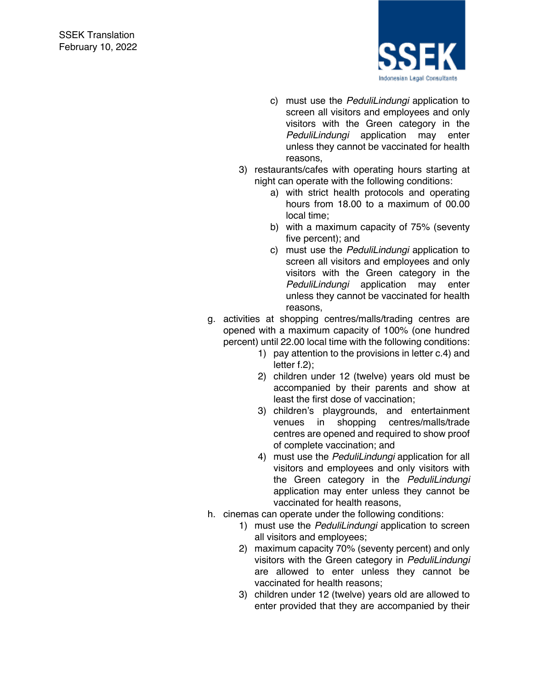

- c) must use the *PeduliLindungi* application to screen all visitors and employees and only visitors with the Green category in the *PeduliLindungi* application may enter unless they cannot be vaccinated for health reasons,
- 3) restaurants/cafes with operating hours starting at night can operate with the following conditions:
	- a) with strict health protocols and operating hours from 18.00 to a maximum of 00.00 local time;
	- b) with a maximum capacity of 75% (seventy five percent); and
	- c) must use the *PeduliLindungi* application to screen all visitors and employees and only visitors with the Green category in the *PeduliLindungi* application may enter unless they cannot be vaccinated for health reasons,
- g. activities at shopping centres/malls/trading centres are opened with a maximum capacity of 100% (one hundred percent) until 22.00 local time with the following conditions:
	- 1) pay attention to the provisions in letter c.4) and letter f.2);
	- 2) children under 12 (twelve) years old must be accompanied by their parents and show at least the first dose of vaccination;
	- 3) children's playgrounds, and entertainment venues in shopping centres/malls/trade centres are opened and required to show proof of complete vaccination; and
	- 4) must use the *PeduliLindungi* application for all visitors and employees and only visitors with the Green category in the *PeduliLindungi* application may enter unless they cannot be vaccinated for health reasons,
- h. cinemas can operate under the following conditions:
	- 1) must use the *PeduliLindungi* application to screen all visitors and employees;
	- 2) maximum capacity 70% (seventy percent) and only visitors with the Green category in *PeduliLindungi* are allowed to enter unless they cannot be vaccinated for health reasons;
	- 3) children under 12 (twelve) years old are allowed to enter provided that they are accompanied by their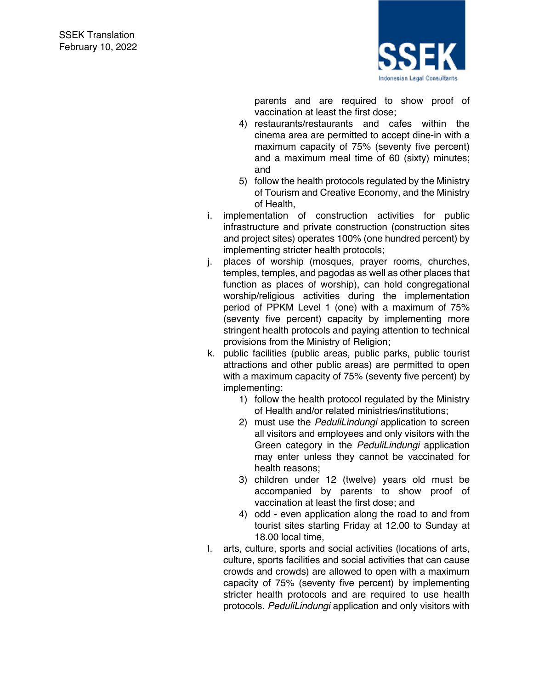

parents and are required to show proof of vaccination at least the first dose;

- 4) restaurants/restaurants and cafes within the cinema area are permitted to accept dine-in with a maximum capacity of 75% (seventy five percent) and a maximum meal time of 60 (sixty) minutes; and
- 5) follow the health protocols regulated by the Ministry of Tourism and Creative Economy, and the Ministry of Health,
- i. implementation of construction activities for public infrastructure and private construction (construction sites and project sites) operates 100% (one hundred percent) by implementing stricter health protocols;
- j. places of worship (mosques, prayer rooms, churches, temples, temples, and pagodas as well as other places that function as places of worship), can hold congregational worship/religious activities during the implementation period of PPKM Level 1 (one) with a maximum of 75% (seventy five percent) capacity by implementing more stringent health protocols and paying attention to technical provisions from the Ministry of Religion;
- k. public facilities (public areas, public parks, public tourist attractions and other public areas) are permitted to open with a maximum capacity of 75% (seventy five percent) by implementing:
	- 1) follow the health protocol regulated by the Ministry of Health and/or related ministries/institutions;
	- 2) must use the *PeduliLindungi* application to screen all visitors and employees and only visitors with the Green category in the *PeduliLindungi* application may enter unless they cannot be vaccinated for health reasons;
	- 3) children under 12 (twelve) years old must be accompanied by parents to show proof of vaccination at least the first dose; and
	- 4) odd even application along the road to and from tourist sites starting Friday at 12.00 to Sunday at 18.00 local time,
- l. arts, culture, sports and social activities (locations of arts, culture, sports facilities and social activities that can cause crowds and crowds) are allowed to open with a maximum capacity of 75% (seventy five percent) by implementing stricter health protocols and are required to use health protocols. *PeduliLindungi* application and only visitors with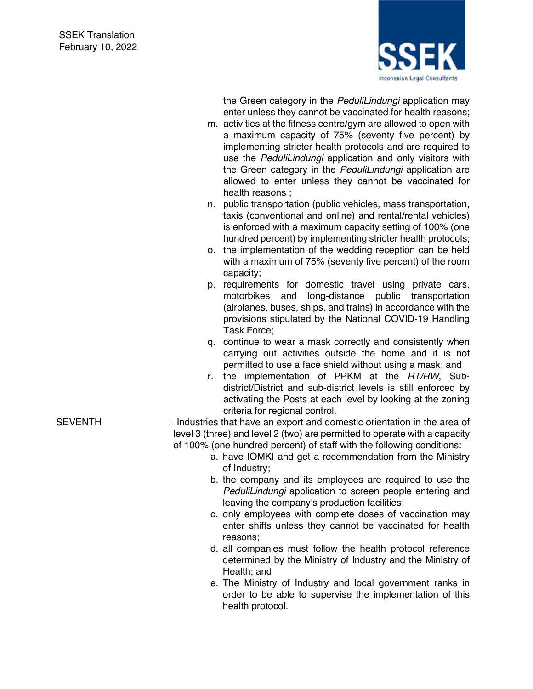

the Green category in the *PeduliLindungi* application may enter unless they cannot be vaccinated for health reasons;

- m. activities at the fitness centre/gym are allowed to open with a maximum capacity of 75% (seventy five percent) by implementing stricter health protocols and are required to use the *PeduliLindungi* application and only visitors with the Green category in the *PeduliLindungi* application are allowed to enter unless they cannot be vaccinated for health reasons ;
- n. public transportation (public vehicles, mass transportation, taxis (conventional and online) and rental/rental vehicles) is enforced with a maximum capacity setting of 100% (one hundred percent) by implementing stricter health protocols;
- o. the implementation of the wedding reception can be held with a maximum of 75% (seventy five percent) of the room capacity;
- p. requirements for domestic travel using private cars, motorbikes and long-distance public transportation (airplanes, buses, ships, and trains) in accordance with the provisions stipulated by the National COVID-19 Handling Task Force;
- q. continue to wear a mask correctly and consistently when carrying out activities outside the home and it is not permitted to use a face shield without using a mask; and
- r. the implementation of PPKM at the *RT/RW*, Subdistrict/District and sub-district levels is still enforced by activating the Posts at each level by looking at the zoning criteria for regional control.
- SEVENTH : Industries that have an export and domestic orientation in the area of level 3 (three) and level 2 (two) are permitted to operate with a capacity of 100% (one hundred percent) of staff with the following conditions:
	- a. have IOMKI and get a recommendation from the Ministry of Industry;
	- b. the company and its employees are required to use the *PeduliLindungi* application to screen people entering and leaving the company's production facilities;
	- c. only employees with complete doses of vaccination may enter shifts unless they cannot be vaccinated for health reasons;
	- d. all companies must follow the health protocol reference determined by the Ministry of Industry and the Ministry of Health; and
	- e. The Ministry of Industry and local government ranks in order to be able to supervise the implementation of this health protocol.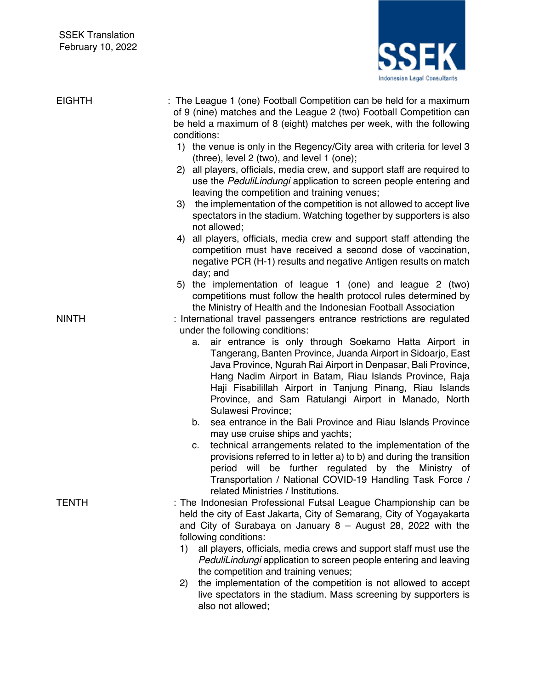

| <b>EIGHTH</b> | : The League 1 (one) Football Competition can be held for a maximum<br>of 9 (nine) matches and the League 2 (two) Football Competition can<br>be held a maximum of 8 (eight) matches per week, with the following<br>conditions:<br>1) the venue is only in the Regency/City area with criteria for level 3<br>(three), level 2 (two), and level 1 (one);<br>all players, officials, media crew, and support staff are required to<br>(2)<br>use the PeduliLindungi application to screen people entering and<br>leaving the competition and training venues;<br>3) the implementation of the competition is not allowed to accept live<br>spectators in the stadium. Watching together by supporters is also<br>not allowed;<br>4) all players, officials, media crew and support staff attending the<br>competition must have received a second dose of vaccination,<br>negative PCR (H-1) results and negative Antigen results on match<br>day; and<br>the implementation of league 1 (one) and league 2 (two)<br>5)<br>competitions must follow the health protocol rules determined by |
|---------------|---------------------------------------------------------------------------------------------------------------------------------------------------------------------------------------------------------------------------------------------------------------------------------------------------------------------------------------------------------------------------------------------------------------------------------------------------------------------------------------------------------------------------------------------------------------------------------------------------------------------------------------------------------------------------------------------------------------------------------------------------------------------------------------------------------------------------------------------------------------------------------------------------------------------------------------------------------------------------------------------------------------------------------------------------------------------------------------------|
| <b>NINTH</b>  | the Ministry of Health and the Indonesian Football Association<br>: International travel passengers entrance restrictions are regulated<br>under the following conditions:<br>air entrance is only through Soekarno Hatta Airport in<br>а.<br>Tangerang, Banten Province, Juanda Airport in Sidoarjo, East<br>Java Province, Ngurah Rai Airport in Denpasar, Bali Province,<br>Hang Nadim Airport in Batam, Riau Islands Province, Raja<br>Haji Fisabilillah Airport in Tanjung Pinang, Riau Islands<br>Province, and Sam Ratulangi Airport in Manado, North<br>Sulawesi Province;<br>sea entrance in the Bali Province and Riau Islands Province<br>b.<br>may use cruise ships and yachts;                                                                                                                                                                                                                                                                                                                                                                                                 |
| <b>TENTH</b>  | technical arrangements related to the implementation of the<br>C.<br>provisions referred to in letter a) to b) and during the transition<br>be further regulated by the Ministry of<br>period will<br>Transportation / National COVID-19 Handling Task Force /<br>related Ministries / Institutions.<br>: The Indonesian Professional Futsal League Championship can be<br>held the city of East Jakarta, City of Semarang, City of Yogayakarta<br>and City of Surabaya on January $8 -$ August 28, 2022 with the<br>following conditions:<br>all players, officials, media crews and support staff must use the<br>1)<br>PeduliLindungi application to screen people entering and leaving<br>the competition and training venues;<br>the implementation of the competition is not allowed to accept<br>2)<br>live spectators in the stadium. Mass screening by supporters is<br>also not allowed;                                                                                                                                                                                          |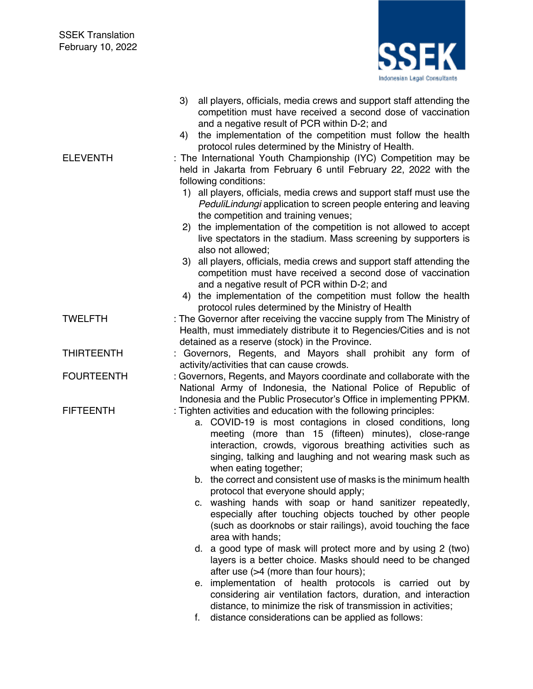

|                   | all players, officials, media crews and support staff attending the<br>3)<br>competition must have received a second dose of vaccination<br>and a negative result of PCR within D-2; and                                                                                                                                                     |
|-------------------|----------------------------------------------------------------------------------------------------------------------------------------------------------------------------------------------------------------------------------------------------------------------------------------------------------------------------------------------|
|                   | the implementation of the competition must follow the health<br>4)<br>protocol rules determined by the Ministry of Health.                                                                                                                                                                                                                   |
| <b>ELEVENTH</b>   | : The International Youth Championship (IYC) Competition may be<br>held in Jakarta from February 6 until February 22, 2022 with the<br>following conditions:                                                                                                                                                                                 |
|                   | 1) all players, officials, media crews and support staff must use the<br>PeduliLindungi application to screen people entering and leaving<br>the competition and training venues;                                                                                                                                                            |
|                   | 2) the implementation of the competition is not allowed to accept<br>live spectators in the stadium. Mass screening by supporters is<br>also not allowed;                                                                                                                                                                                    |
|                   | 3) all players, officials, media crews and support staff attending the<br>competition must have received a second dose of vaccination<br>and a negative result of PCR within D-2; and                                                                                                                                                        |
|                   | the implementation of the competition must follow the health<br>4)<br>protocol rules determined by the Ministry of Health                                                                                                                                                                                                                    |
| <b>TWELFTH</b>    | : The Governor after receiving the vaccine supply from The Ministry of<br>Health, must immediately distribute it to Regencies/Cities and is not<br>detained as a reserve (stock) in the Province.                                                                                                                                            |
| <b>THIRTEENTH</b> | Governors, Regents, and Mayors shall prohibit any form of                                                                                                                                                                                                                                                                                    |
| <b>FOURTEENTH</b> | activity/activities that can cause crowds.<br>: Governors, Regents, and Mayors coordinate and collaborate with the<br>National Army of Indonesia, the National Police of Republic of<br>Indonesia and the Public Prosecutor's Office in implementing PPKM.                                                                                   |
| <b>FIFTEENTH</b>  | : Tighten activities and education with the following principles:<br>a. COVID-19 is most contagions in closed conditions, long<br>meeting (more than 15 (fifteen) minutes), close-range<br>interaction, crowds, vigorous breathing activities such as<br>singing, talking and laughing and not wearing mask such as<br>when eating together; |
|                   | the correct and consistent use of masks is the minimum health<br>b.<br>protocol that everyone should apply;                                                                                                                                                                                                                                  |
|                   | c. washing hands with soap or hand sanitizer repeatedly,<br>especially after touching objects touched by other people<br>(such as doorknobs or stair railings), avoid touching the face<br>area with hands;                                                                                                                                  |
|                   | d. a good type of mask will protect more and by using 2 (two)<br>layers is a better choice. Masks should need to be changed<br>after use (>4 (more than four hours);                                                                                                                                                                         |
|                   | e. implementation of health protocols is carried out by<br>considering air ventilation factors, duration, and interaction<br>distance, to minimize the risk of transmission in activities;                                                                                                                                                   |
|                   | distance considerations can be applied as follows:<br>f.                                                                                                                                                                                                                                                                                     |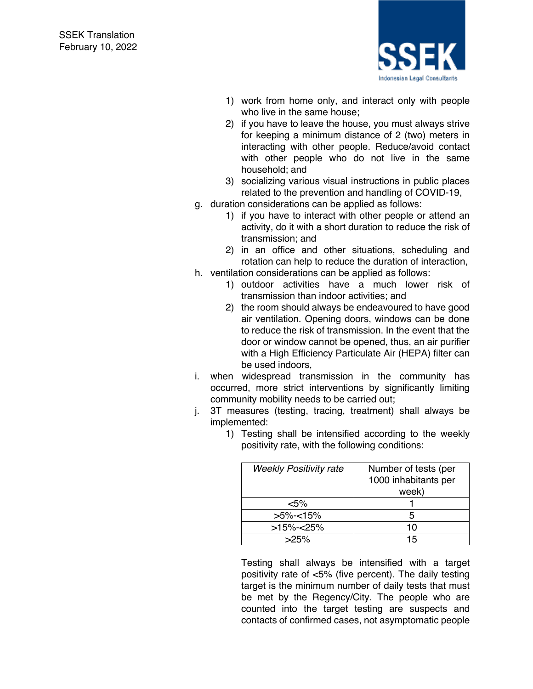

- 1) work from home only, and interact only with people who live in the same house;
- 2) if you have to leave the house, you must always strive for keeping a minimum distance of 2 (two) meters in interacting with other people. Reduce/avoid contact with other people who do not live in the same household; and
- 3) socializing various visual instructions in public places related to the prevention and handling of COVID-19,
- g. duration considerations can be applied as follows:
	- 1) if you have to interact with other people or attend an activity, do it with a short duration to reduce the risk of transmission; and
	- 2) in an office and other situations, scheduling and rotation can help to reduce the duration of interaction,
- h. ventilation considerations can be applied as follows:
	- 1) outdoor activities have a much lower risk of transmission than indoor activities; and
	- 2) the room should always be endeavoured to have good air ventilation. Opening doors, windows can be done to reduce the risk of transmission. In the event that the door or window cannot be opened, thus, an air purifier with a High Efficiency Particulate Air (HEPA) filter can be used indoors,
- i. when widespread transmission in the community has occurred, more strict interventions by significantly limiting community mobility needs to be carried out;
- j. 3T measures (testing, tracing, treatment) shall always be implemented:

| <b>Weekly Positivity rate</b> | Number of tests (per<br>1000 inhabitants per<br>week) |
|-------------------------------|-------------------------------------------------------|
| <5%                           |                                                       |
| $>5\%<15\%$                   |                                                       |
| $>15\%<25\%$                  | 10                                                    |
| $>25\%$                       | 15                                                    |

1) Testing shall be intensified according to the weekly positivity rate, with the following conditions:

Testing shall always be intensified with a target positivity rate of <5% (five percent). The daily testing target is the minimum number of daily tests that must be met by the Regency/City. The people who are counted into the target testing are suspects and contacts of confirmed cases, not asymptomatic people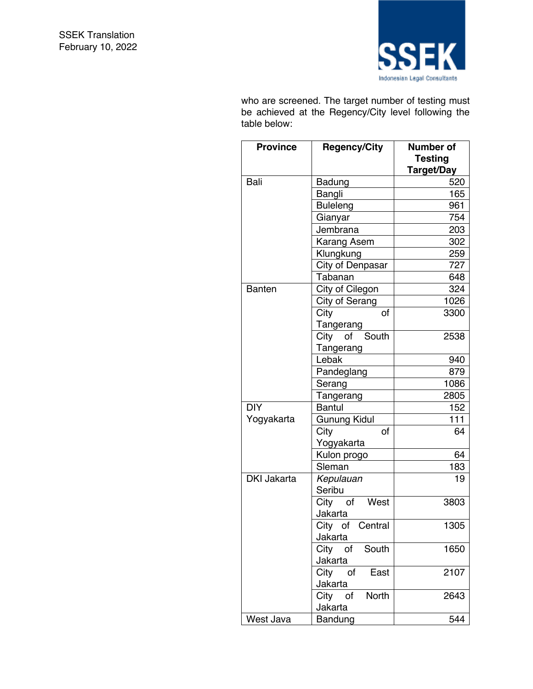

who are screened. The target number of testing must be achieved at the Regency/City level following the table below:

| <b>Province</b>    | <b>Regency/City</b>         | Number of<br><b>Testing</b><br>Target/Day |
|--------------------|-----------------------------|-------------------------------------------|
| Bali               | Badung                      | 520                                       |
|                    | Bangli                      | 165                                       |
|                    | <b>Buleleng</b>             | 961                                       |
|                    | Gianyar                     | 754                                       |
|                    | Jembrana                    | 203                                       |
|                    | <b>Karang Asem</b>          | 302                                       |
|                    | Klungkung                   | 259                                       |
|                    | City of Denpasar            | 727                                       |
|                    | Tabanan                     | 648                                       |
| <b>Banten</b>      | City of Cilegon             | 324                                       |
|                    | City of Serang              | 1026                                      |
|                    | City<br>οf                  | 3300                                      |
|                    | Tangerang                   |                                           |
|                    | City of South               | 2538                                      |
|                    | Tangerang                   |                                           |
|                    | Lebak                       | 940                                       |
|                    | Pandeglang                  | 879                                       |
|                    | Serang                      | 1086                                      |
|                    | Tangerang                   | 2805                                      |
| <b>DIY</b>         | <b>Bantul</b>               | 152                                       |
| Yogyakarta         | <b>Gunung Kidul</b>         | 111                                       |
|                    | City<br>οf                  | 64                                        |
|                    | Yogyakarta                  |                                           |
|                    | Kulon progo                 | 64                                        |
|                    | Sleman                      | 183                                       |
| <b>DKI Jakarta</b> | Kepulauan                   | 19                                        |
|                    | Seribu                      |                                           |
|                    | City of<br>West             | 3803                                      |
|                    | Jakarta                     |                                           |
|                    | City of<br>Central          | 1305                                      |
|                    | Jakarta                     |                                           |
|                    | City of<br>South<br>Jakarta | 1650                                      |
|                    | City of<br>East             | 2107                                      |
|                    | Jakarta<br><b>North</b>     | 2643                                      |
|                    | City of<br>Jakarta          |                                           |
| West Java          | Bandung                     | 544                                       |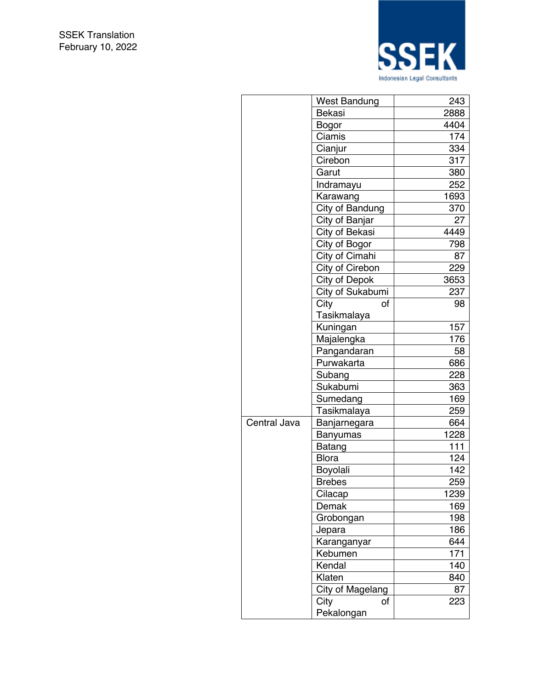

|              | <b>West Bandung</b> | 243  |
|--------------|---------------------|------|
|              | Bekasi              | 2888 |
|              | <b>Bogor</b>        | 4404 |
|              | Ciamis              | 174  |
|              | Cianjur             | 334  |
|              | Cirebon             | 317  |
|              | Garut               | 380  |
|              | Indramayu           | 252  |
|              | Karawang            | 1693 |
|              | City of Bandung     | 370  |
|              | City of Banjar      | 27   |
|              | City of Bekasi      | 4449 |
|              | City of Bogor       | 798  |
|              | City of Cimahi      | 87   |
|              | City of Cirebon     | 229  |
|              | City of Depok       | 3653 |
|              | City of Sukabumi    | 237  |
|              | City<br>οf          | 98   |
|              | Tasikmalaya         |      |
|              | Kuningan            | 157  |
|              | Majalengka          | 176  |
|              | Pangandaran         | 58   |
|              | Purwakarta          | 686  |
|              | Subang              | 228  |
|              | Sukabumi            | 363  |
|              | Sumedang            | 169  |
|              | Tasikmalaya         | 259  |
| Central Java | Banjarnegara        | 664  |
|              | Banyumas            | 1228 |
|              | Batang              | 111  |
|              | <b>Blora</b>        | 124  |
|              | Boyolali            | 142  |
|              | <b>Brebes</b>       | 259  |
|              | Cilacap             | 1239 |
|              | Demak               | 169  |
|              | Grobongan           | 198  |
|              | Jepara              | 186  |
|              | Karanganyar         | 644  |
|              | Kebumen             | 171  |
|              | Kendal              | 140  |
|              | Klaten              | 840  |
|              | City of Magelang    | 87   |
|              | City<br>οf          | 223  |
|              | Pekalongan          |      |
|              |                     |      |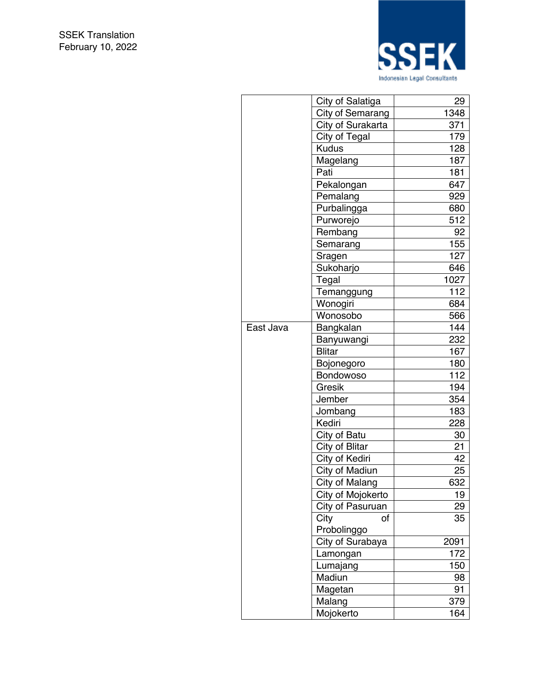

|           | City of Salatiga  | 29   |
|-----------|-------------------|------|
|           | City of Semarang  | 1348 |
|           | City of Surakarta | 371  |
|           | City of Tegal     | 179  |
|           | <b>Kudus</b>      | 128  |
|           | Magelang          | 187  |
|           | Pati              | 181  |
|           | Pekalongan        | 647  |
|           | Pemalang          | 929  |
|           | Purbalingga       | 680  |
|           | Purworejo         | 512  |
|           | Rembang           | 92   |
|           | Semarang          | 155  |
|           | Sragen            | 127  |
|           | Sukoharjo         | 646  |
|           | Tegal             | 1027 |
|           | Temanggung        | 112  |
|           | Wonogiri          | 684  |
|           | Wonosobo          | 566  |
| East Java | Bangkalan         | 144  |
|           | Banyuwangi        | 232  |
|           | <b>Blitar</b>     | 167  |
|           | Bojonegoro        | 180  |
|           | Bondowoso         | 112  |
|           | Gresik            | 194  |
|           | Jember            | 354  |
|           | Jombang           | 183  |
|           | Kediri            | 228  |
|           | City of Batu      | 30   |
|           | City of Blitar    | 21   |
|           | City of Kediri    | 42   |
|           | City of Madiun    | 25   |
|           | City of Malang    | 632  |
|           | City of Mojokerto | 19   |
|           | City of Pasuruan  | 29   |
|           | City<br>of        | 35   |
|           | Probolinggo       |      |
|           | City of Surabaya  | 2091 |
|           | Lamongan          | 172  |
|           | Lumajang          | 150  |
|           | Madiun            | 98   |
|           | Magetan           | 91   |
|           | Malang            | 379  |
|           | Mojokerto         | 164  |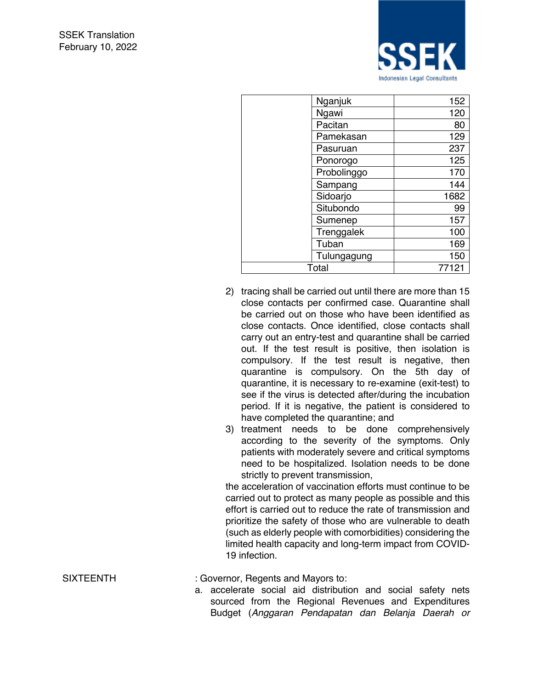

| Nganjuk     | 152   |
|-------------|-------|
| Ngawi       | 120   |
| Pacitan     | 80    |
| Pamekasan   | 129   |
| Pasuruan    | 237   |
| Ponorogo    | 125   |
| Probolinggo | 170   |
| Sampang     | 144   |
| Sidoarjo    | 1682  |
| Situbondo   | 99    |
| Sumenep     | 157   |
| Trenggalek  | 100   |
| Tuban       | 169   |
| Tulungagung | 150   |
| Total       | 77121 |

- 2) tracing shall be carried out until there are more than 15 close contacts per confirmed case. Quarantine shall be carried out on those who have been identified as close contacts. Once identified, close contacts shall carry out an entry-test and quarantine shall be carried out. If the test result is positive, then isolation is compulsory. If the test result is negative, then quarantine is compulsory. On the 5th day of quarantine, it is necessary to re-examine (exit-test) to see if the virus is detected after/during the incubation period. If it is negative, the patient is considered to have completed the quarantine; and
- 3) treatment needs to be done comprehensively according to the severity of the symptoms. Only patients with moderately severe and critical symptoms need to be hospitalized. Isolation needs to be done strictly to prevent transmission,

the acceleration of vaccination efforts must continue to be carried out to protect as many people as possible and this effort is carried out to reduce the rate of transmission and prioritize the safety of those who are vulnerable to death (such as elderly people with comorbidities) considering the limited health capacity and long-term impact from COVID-19 infection.

SIXTEENTH : Governor, Regents and Mayors to:

a. accelerate social aid distribution and social safety nets sourced from the Regional Revenues and Expenditures Budget (*Anggaran Pendapatan dan Belanja Daerah or*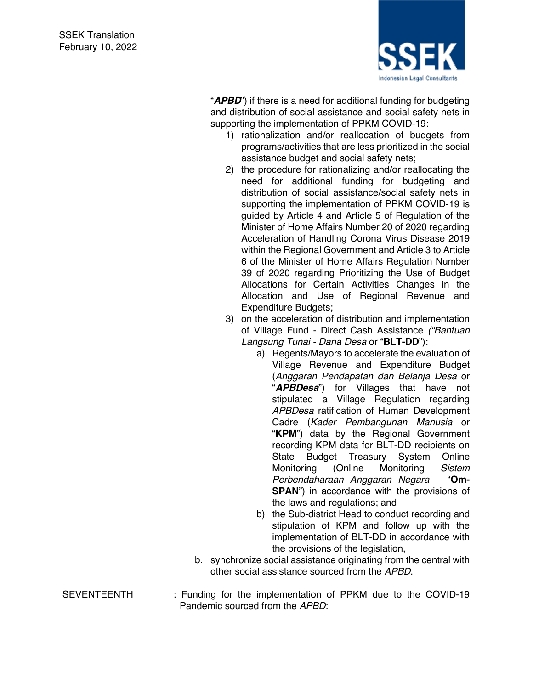

"*APBD*") if there is a need for additional funding for budgeting and distribution of social assistance and social safety nets in supporting the implementation of PPKM COVID-19:

- 1) rationalization and/or reallocation of budgets from programs/activities that are less prioritized in the social assistance budget and social safety nets;
- 2) the procedure for rationalizing and/or reallocating the need for additional funding for budgeting and distribution of social assistance/social safety nets in supporting the implementation of PPKM COVID-19 is guided by Article 4 and Article 5 of Regulation of the Minister of Home Affairs Number 20 of 2020 regarding Acceleration of Handling Corona Virus Disease 2019 within the Regional Government and Article 3 to Article 6 of the Minister of Home Affairs Regulation Number 39 of 2020 regarding Prioritizing the Use of Budget Allocations for Certain Activities Changes in the Allocation and Use of Regional Revenue and Expenditure Budgets;
- 3) on the acceleration of distribution and implementation of Village Fund - Direct Cash Assistance *("Bantuan Langsung Tunai - Dana Desa* or "**BLT-DD**"):
	- a) Regents/Mayors to accelerate the evaluation of Village Revenue and Expenditure Budget (*Anggaran Pendapatan dan Belanja Desa* or "*APBDesa*") for Villages that have not stipulated a Village Regulation regarding *APBDesa* ratification of Human Development Cadre (*Kader Pembangunan Manusia* or "**KPM**") data by the Regional Government recording KPM data for BLT-DD recipients on State Budget Treasury System Online Monitoring (Online Monitoring *Sistem Perbendaharaan Anggaran Negara* – "**Om-SPAN**") in accordance with the provisions of the laws and regulations; and
	- b) the Sub-district Head to conduct recording and stipulation of KPM and follow up with the implementation of BLT-DD in accordance with the provisions of the legislation,
- b. synchronize social assistance originating from the central with other social assistance sourced from the *APBD*.
- SEVENTEENTH : Funding for the implementation of PPKM due to the COVID-19 Pandemic sourced from the *APBD*: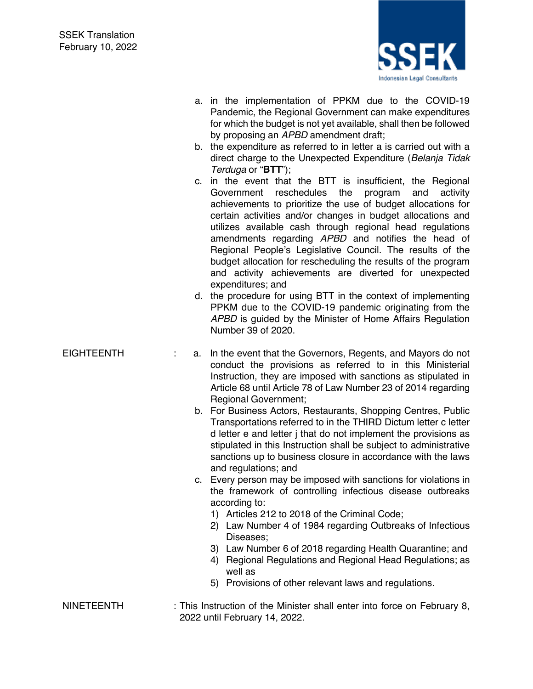

- a. in the implementation of PPKM due to the COVID-19 Pandemic, the Regional Government can make expenditures for which the budget is not yet available, shall then be followed by proposing an *APBD* amendment draft;
- b. the expenditure as referred to in letter a is carried out with a direct charge to the Unexpected Expenditure (*Belanja Tidak Terduga* or "**BTT**");
- c. in the event that the BTT is insufficient, the Regional Government reschedules the program and activity achievements to prioritize the use of budget allocations for certain activities and/or changes in budget allocations and utilizes available cash through regional head regulations amendments regarding *APBD* and notifies the head of Regional People's Legislative Council. The results of the budget allocation for rescheduling the results of the program and activity achievements are diverted for unexpected expenditures; and
- d. the procedure for using BTT in the context of implementing PPKM due to the COVID-19 pandemic originating from the *APBD* is guided by the Minister of Home Affairs Regulation Number 39 of 2020.

- EIGHTEENTH : a. In the event that the Governors, Regents, and Mayors do not conduct the provisions as referred to in this Ministerial Instruction, they are imposed with sanctions as stipulated in Article 68 until Article 78 of Law Number 23 of 2014 regarding Regional Government;
	- b. For Business Actors, Restaurants, Shopping Centres, Public Transportations referred to in the THIRD Dictum letter c letter d letter e and letter j that do not implement the provisions as stipulated in this Instruction shall be subject to administrative sanctions up to business closure in accordance with the laws and regulations; and
	- c. Every person may be imposed with sanctions for violations in the framework of controlling infectious disease outbreaks according to:
		- 1) Articles 212 to 2018 of the Criminal Code;
		- 2) Law Number 4 of 1984 regarding Outbreaks of Infectious Diseases;
		- 3) Law Number 6 of 2018 regarding Health Quarantine; and
		- 4) Regional Regulations and Regional Head Regulations; as well as
		- 5) Provisions of other relevant laws and regulations.
- NINETEENTH : This Instruction of the Minister shall enter into force on February 8, 2022 until February 14, 2022.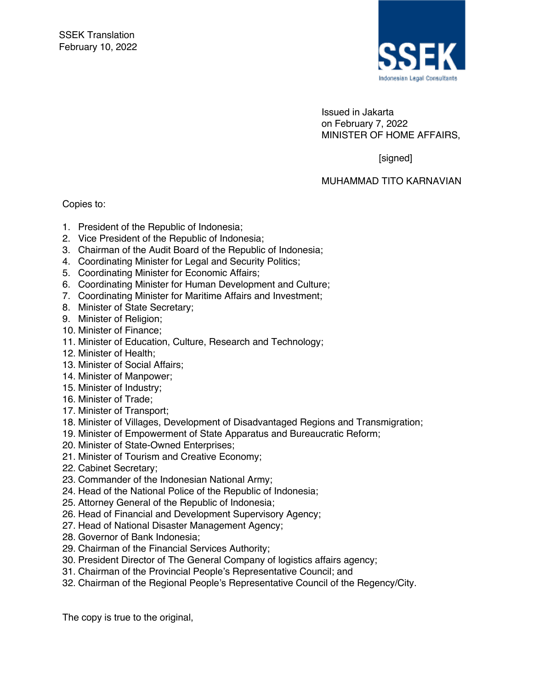

Issued in Jakarta on February 7, 2022 MINISTER OF HOME AFFAIRS,

[signed]

MUHAMMAD TITO KARNAVIAN

Copies to:

- 1. President of the Republic of Indonesia;
- 2. Vice President of the Republic of Indonesia;
- 3. Chairman of the Audit Board of the Republic of Indonesia;
- 4. Coordinating Minister for Legal and Security Politics;
- 5. Coordinating Minister for Economic Affairs;
- 6. Coordinating Minister for Human Development and Culture;
- 7. Coordinating Minister for Maritime Affairs and Investment;
- 8. Minister of State Secretary;
- 9. Minister of Religion;
- 10. Minister of Finance;
- 11. Minister of Education, Culture, Research and Technology;
- 12. Minister of Health;
- 13. Minister of Social Affairs;
- 14. Minister of Manpower;
- 15. Minister of Industry;
- 16. Minister of Trade;
- 17. Minister of Transport;
- 18. Minister of Villages, Development of Disadvantaged Regions and Transmigration;
- 19. Minister of Empowerment of State Apparatus and Bureaucratic Reform;
- 20. Minister of State-Owned Enterprises;
- 21. Minister of Tourism and Creative Economy;
- 22. Cabinet Secretary;
- 23. Commander of the Indonesian National Army;
- 24. Head of the National Police of the Republic of Indonesia;
- 25. Attorney General of the Republic of Indonesia;
- 26. Head of Financial and Development Supervisory Agency;
- 27. Head of National Disaster Management Agency;
- 28. Governor of Bank Indonesia;
- 29. Chairman of the Financial Services Authority;
- 30. President Director of The General Company of logistics affairs agency;
- 31. Chairman of the Provincial People's Representative Council; and
- 32. Chairman of the Regional People's Representative Council of the Regency/City.

The copy is true to the original,